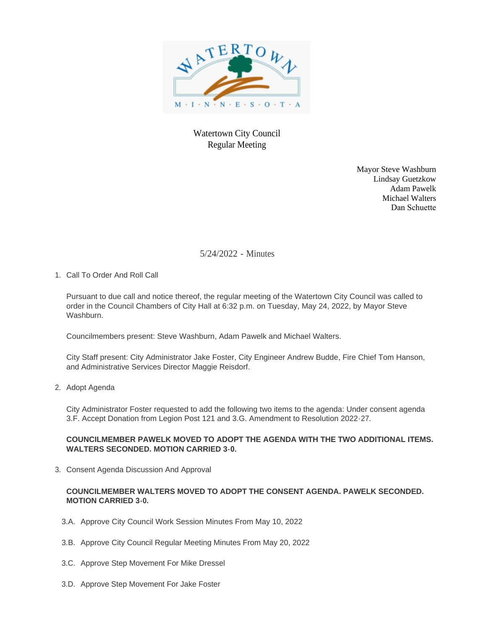

# Watertown City Council Regular Meeting

Mayor Steve Washburn Lindsay Guetzkow Adam Pawelk Michael Walters Dan Schuette

5/24/2022 - Minutes

1. Call To Order And Roll Call

Pursuant to due call and notice thereof, the regular meeting of the Watertown City Council was called to order in the Council Chambers of City Hall at 6:32 p.m. on Tuesday, May 24, 2022, by Mayor Steve Washburn.

Councilmembers present: Steve Washburn, Adam Pawelk and Michael Walters.

City Staff present: City Administrator Jake Foster, City Engineer Andrew Budde, Fire Chief Tom Hanson, and Administrative Services Director Maggie Reisdorf.

2. Adopt Agenda

City Administrator Foster requested to add the following two items to the agenda: Under consent agenda 3.F. Accept Donation from Legion Post 121 and 3.G. Amendment to Resolution 2022-27.

# **COUNCILMEMBER PAWELK MOVED TO ADOPT THE AGENDA WITH THE TWO ADDITIONAL ITEMS. WALTERS SECONDED. MOTION CARRIED 3-0.**

3. Consent Agenda Discussion And Approval

# **COUNCILMEMBER WALTERS MOVED TO ADOPT THE CONSENT AGENDA. PAWELK SECONDED. MOTION CARRIED 3-0.**

- 3.A. Approve City Council Work Session Minutes From May 10, 2022
- 3.B. Approve City Council Regular Meeting Minutes From May 20, 2022
- 3.C. Approve Step Movement For Mike Dressel
- 3.D. Approve Step Movement For Jake Foster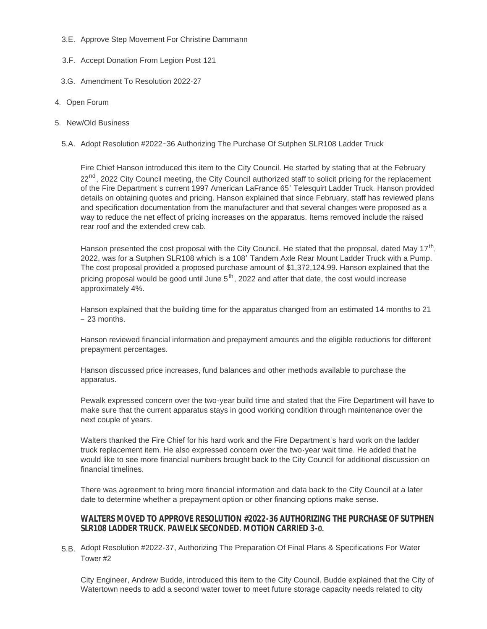- 3.E. Approve Step Movement For Christine Dammann
- 3.F. Accept Donation From Legion Post 121
- 3.G. Amendment To Resolution 2022-27
- 4. Open Forum
- 5. New/Old Business
	- 5.A. Adopt Resolution #2022-36 Authorizing The Purchase Of Sutphen SLR108 Ladder Truck

Fire Chief Hanson introduced this item to the City Council. He started by stating that at the February 22<sup>nd</sup>, 2022 City Council meeting, the City Council authorized staff to solicit pricing for the replacement of the Fire Department's current 1997 American LaFrance 65' Telesquirt Ladder Truck. Hanson provided details on obtaining quotes and pricing. Hanson explained that since February, staff has reviewed plans and specification documentation from the manufacturer and that several changes were proposed as a way to reduce the net effect of pricing increases on the apparatus. Items removed include the raised rear roof and the extended crew cab.

Hanson presented the cost proposal with the City Council. He stated that the proposal, dated May 17<sup>th</sup>, 2022, was for a Sutphen SLR108 which is a 108' Tandem Axle Rear Mount Ladder Truck with a Pump. The cost proposal provided a proposed purchase amount of \$1,372,124.99. Hanson explained that the pricing proposal would be good until June  $5<sup>th</sup>$ , 2022 and after that date, the cost would increase approximately 4%.

Hanson explained that the building time for the apparatus changed from an estimated 14 months to 21 – 23 months.

Hanson reviewed financial information and prepayment amounts and the eligible reductions for different prepayment percentages.

Hanson discussed price increases, fund balances and other methods available to purchase the apparatus.

Pewalk expressed concern over the two-year build time and stated that the Fire Department will have to make sure that the current apparatus stays in good working condition through maintenance over the next couple of years.

Walters thanked the Fire Chief for his hard work and the Fire Department's hard work on the ladder truck replacement item. He also expressed concern over the two-year wait time. He added that he would like to see more financial numbers brought back to the City Council for additional discussion on financial timelines.

There was agreement to bring more financial information and data back to the City Council at a later date to determine whether a prepayment option or other financing options make sense.

# **WALTERS MOVED TO APPROVE RESOLUTION #2022-36 AUTHORIZING THE PURCHASE OF SUTPHEN SLR108 LADDER TRUCK. PAWELK SECONDED. MOTION CARRIED 3-0.**

5.B. Adopt Resolution #2022-37, Authorizing The Preparation Of Final Plans & Specifications For Water Tower #2

City Engineer, Andrew Budde, introduced this item to the City Council. Budde explained that the City of Watertown needs to add a second water tower to meet future storage capacity needs related to city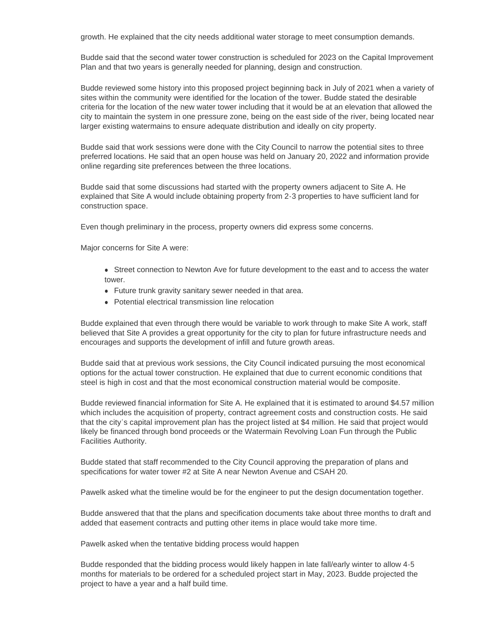growth. He explained that the city needs additional water storage to meet consumption demands.

Budde said that the second water tower construction is scheduled for 2023 on the Capital Improvement Plan and that two years is generally needed for planning, design and construction.

Budde reviewed some history into this proposed project beginning back in July of 2021 when a variety of sites within the community were identified for the location of the tower. Budde stated the desirable criteria for the location of the new water tower including that it would be at an elevation that allowed the city to maintain the system in one pressure zone, being on the east side of the river, being located near larger existing watermains to ensure adequate distribution and ideally on city property.

Budde said that work sessions were done with the City Council to narrow the potential sites to three preferred locations. He said that an open house was held on January 20, 2022 and information provide online regarding site preferences between the three locations.

Budde said that some discussions had started with the property owners adjacent to Site A. He explained that Site A would include obtaining property from 2-3 properties to have sufficient land for construction space.

Even though preliminary in the process, property owners did express some concerns.

Major concerns for Site A were:

- Street connection to Newton Ave for future development to the east and to access the water tower.
- Future trunk gravity sanitary sewer needed in that area.
- Potential electrical transmission line relocation

Budde explained that even through there would be variable to work through to make Site A work, staff believed that Site A provides a great opportunity for the city to plan for future infrastructure needs and encourages and supports the development of infill and future growth areas.

Budde said that at previous work sessions, the City Council indicated pursuing the most economical options for the actual tower construction. He explained that due to current economic conditions that steel is high in cost and that the most economical construction material would be composite.

Budde reviewed financial information for Site A. He explained that it is estimated to around \$4.57 million which includes the acquisition of property, contract agreement costs and construction costs. He said that the city's capital improvement plan has the project listed at \$4 million. He said that project would likely be financed through bond proceeds or the Watermain Revolving Loan Fun through the Public Facilities Authority.

Budde stated that staff recommended to the City Council approving the preparation of plans and specifications for water tower #2 at Site A near Newton Avenue and CSAH 20.

Pawelk asked what the timeline would be for the engineer to put the design documentation together.

Budde answered that that the plans and specification documents take about three months to draft and added that easement contracts and putting other items in place would take more time.

Pawelk asked when the tentative bidding process would happen

Budde responded that the bidding process would likely happen in late fall/early winter to allow 4-5 months for materials to be ordered for a scheduled project start in May, 2023. Budde projected the project to have a year and a half build time.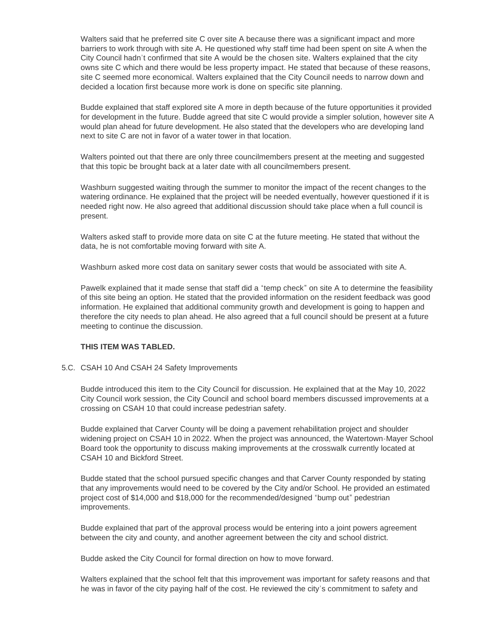Walters said that he preferred site C over site A because there was a significant impact and more barriers to work through with site A. He questioned why staff time had been spent on site A when the City Council hadn't confirmed that site A would be the chosen site. Walters explained that the city owns site C which and there would be less property impact. He stated that because of these reasons, site C seemed more economical. Walters explained that the City Council needs to narrow down and decided a location first because more work is done on specific site planning.

Budde explained that staff explored site A more in depth because of the future opportunities it provided for development in the future. Budde agreed that site C would provide a simpler solution, however site A would plan ahead for future development. He also stated that the developers who are developing land next to site C are not in favor of a water tower in that location.

Walters pointed out that there are only three councilmembers present at the meeting and suggested that this topic be brought back at a later date with all councilmembers present.

Washburn suggested waiting through the summer to monitor the impact of the recent changes to the watering ordinance. He explained that the project will be needed eventually, however questioned if it is needed right now. He also agreed that additional discussion should take place when a full council is present.

Walters asked staff to provide more data on site C at the future meeting. He stated that without the data, he is not comfortable moving forward with site A.

Washburn asked more cost data on sanitary sewer costs that would be associated with site A.

Pawelk explained that it made sense that staff did a "temp check" on site A to determine the feasibility of this site being an option. He stated that the provided information on the resident feedback was good information. He explained that additional community growth and development is going to happen and therefore the city needs to plan ahead. He also agreed that a full council should be present at a future meeting to continue the discussion.

# **THIS ITEM WAS TABLED.**

#### 5.C. CSAH 10 And CSAH 24 Safety Improvements

Budde introduced this item to the City Council for discussion. He explained that at the May 10, 2022 City Council work session, the City Council and school board members discussed improvements at a crossing on CSAH 10 that could increase pedestrian safety.

Budde explained that Carver County will be doing a pavement rehabilitation project and shoulder widening project on CSAH 10 in 2022. When the project was announced, the Watertown-Mayer School Board took the opportunity to discuss making improvements at the crosswalk currently located at CSAH 10 and Bickford Street.

Budde stated that the school pursued specific changes and that Carver County responded by stating that any improvements would need to be covered by the City and/or School. He provided an estimated project cost of \$14,000 and \$18,000 for the recommended/designed "bump out" pedestrian improvements.

Budde explained that part of the approval process would be entering into a joint powers agreement between the city and county, and another agreement between the city and school district.

Budde asked the City Council for formal direction on how to move forward.

Walters explained that the school felt that this improvement was important for safety reasons and that he was in favor of the city paying half of the cost. He reviewed the city's commitment to safety and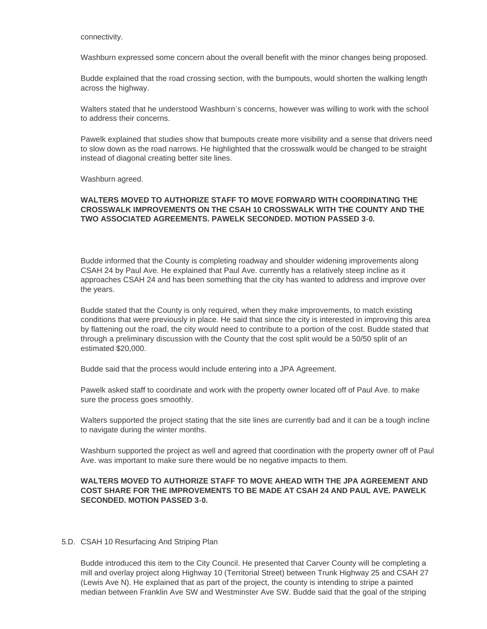connectivity.

Washburn expressed some concern about the overall benefit with the minor changes being proposed.

Budde explained that the road crossing section, with the bumpouts, would shorten the walking length across the highway.

Walters stated that he understood Washburn's concerns, however was willing to work with the school to address their concerns.

Pawelk explained that studies show that bumpouts create more visibility and a sense that drivers need to slow down as the road narrows. He highlighted that the crosswalk would be changed to be straight instead of diagonal creating better site lines.

Washburn agreed.

### **WALTERS MOVED TO AUTHORIZE STAFF TO MOVE FORWARD WITH COORDINATING THE CROSSWALK IMPROVEMENTS ON THE CSAH 10 CROSSWALK WITH THE COUNTY AND THE TWO ASSOCIATED AGREEMENTS. PAWELK SECONDED. MOTION PASSED 3-0.**

Budde informed that the County is completing roadway and shoulder widening improvements along CSAH 24 by Paul Ave. He explained that Paul Ave. currently has a relatively steep incline as it approaches CSAH 24 and has been something that the city has wanted to address and improve over the years.

Budde stated that the County is only required, when they make improvements, to match existing conditions that were previously in place. He said that since the city is interested in improving this area by flattening out the road, the city would need to contribute to a portion of the cost. Budde stated that through a preliminary discussion with the County that the cost split would be a 50/50 split of an estimated \$20,000.

Budde said that the process would include entering into a JPA Agreement.

Pawelk asked staff to coordinate and work with the property owner located off of Paul Ave. to make sure the process goes smoothly.

Walters supported the project stating that the site lines are currently bad and it can be a tough incline to navigate during the winter months.

Washburn supported the project as well and agreed that coordination with the property owner off of Paul Ave. was important to make sure there would be no negative impacts to them.

# **WALTERS MOVED TO AUTHORIZE STAFF TO MOVE AHEAD WITH THE JPA AGREEMENT AND COST SHARE FOR THE IMPROVEMENTS TO BE MADE AT CSAH 24 AND PAUL AVE. PAWELK SECONDED. MOTION PASSED 3-0.**

#### 5.D. CSAH 10 Resurfacing And Striping Plan

Budde introduced this item to the City Council. He presented that Carver County will be completing a mill and overlay project along Highway 10 (Territorial Street) between Trunk Highway 25 and CSAH 27 (Lewis Ave N). He explained that as part of the project, the county is intending to stripe a painted median between Franklin Ave SW and Westminster Ave SW. Budde said that the goal of the striping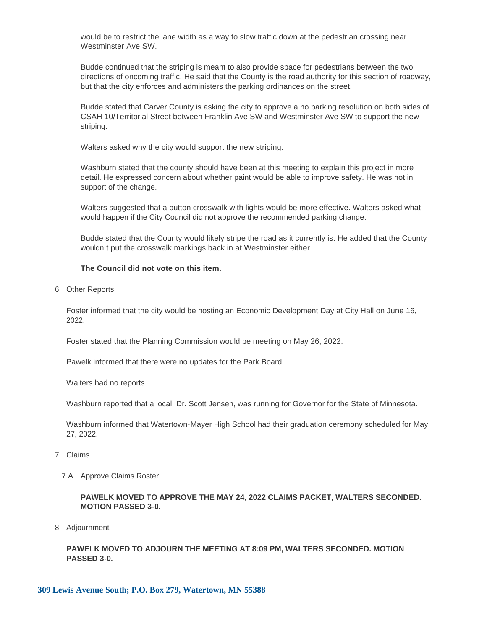would be to restrict the lane width as a way to slow traffic down at the pedestrian crossing near Westminster Ave SW.

Budde continued that the striping is meant to also provide space for pedestrians between the two directions of oncoming traffic. He said that the County is the road authority for this section of roadway, but that the city enforces and administers the parking ordinances on the street.

Budde stated that Carver County is asking the city to approve a no parking resolution on both sides of CSAH 10/Territorial Street between Franklin Ave SW and Westminster Ave SW to support the new striping.

Walters asked why the city would support the new striping.

Washburn stated that the county should have been at this meeting to explain this project in more detail. He expressed concern about whether paint would be able to improve safety. He was not in support of the change.

Walters suggested that a button crosswalk with lights would be more effective. Walters asked what would happen if the City Council did not approve the recommended parking change.

Budde stated that the County would likely stripe the road as it currently is. He added that the County wouldn't put the crosswalk markings back in at Westminster either.

#### **The Council did not vote on this item.**

6. Other Reports

Foster informed that the city would be hosting an Economic Development Day at City Hall on June 16, 2022.

Foster stated that the Planning Commission would be meeting on May 26, 2022.

Pawelk informed that there were no updates for the Park Board.

Walters had no reports.

Washburn reported that a local, Dr. Scott Jensen, was running for Governor for the State of Minnesota.

Washburn informed that Watertown-Mayer High School had their graduation ceremony scheduled for May 27, 2022.

- Claims 7.
	- 7.A. Approve Claims Roster

**PAWELK MOVED TO APPROVE THE MAY 24, 2022 CLAIMS PACKET, WALTERS SECONDED. MOTION PASSED 3-0.**

8. Adjournment

**PAWELK MOVED TO ADJOURN THE MEETING AT 8:09 PM, WALTERS SECONDED. MOTION PASSED 3-0.**